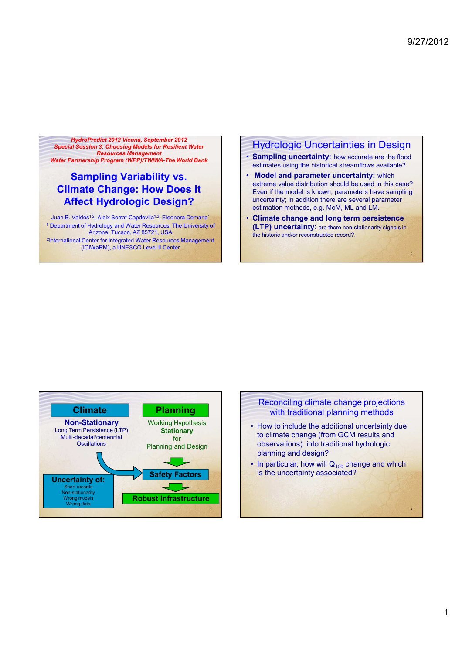2

4

HydroPredict 2012 Vienna, September 2012 Special Session 3: Choosing Models for Resilient Water Resources Management

Water Partnership Program (WPP)/TWIWA-The World Bank

# Sampling Variability vs. Climate Change: How Does it Affect Hydrologic Design?

Juan B. Valdés<sup>1,2</sup>, Aleix Serrat-Capdevila<sup>1,2</sup>, Eleonora Demaria<sup>1</sup> <sup>1</sup> Department of Hydrology and Water Resources, The University of Arizona, Tucson, AZ 85721, USA 2 International Center for Integrated Water Resources Management (ICIWaRM), a UNESCO Level II Center

#### Hydrologic Uncertainties in Design

- Sampling uncertainty: how accurate are the flood estimates using the historical streamflows available?
- **Model and parameter uncertainty: which** extreme value distribution should be used in this case? Even if the model is known, parameters have sampling uncertainty; in addition there are several parameter estimation methods, e.g. MoM, ML and LM.
- Climate change and long term persistence (LTP) uncertainty: are there non-stationarity signals in the historic and/or reconstructed record?.



#### Reconciling climate change projections with traditional planning methods • How to include the additional uncertainty due to climate change (from GCM results and observations) into traditional hydrologic

planning and design? • In particular, how will  $Q<sub>100</sub>$  change and which is the uncertainty associated?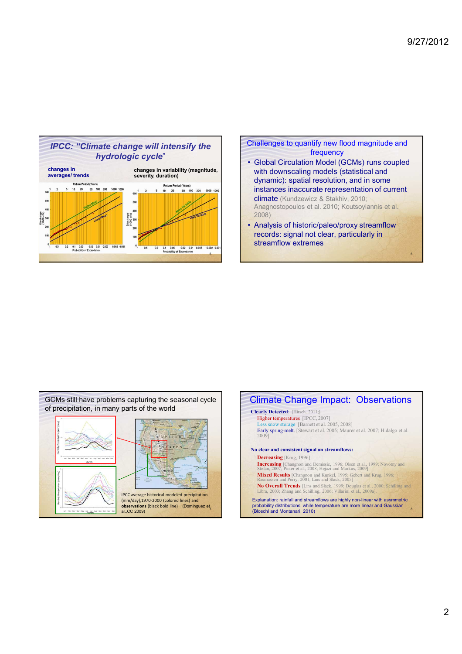





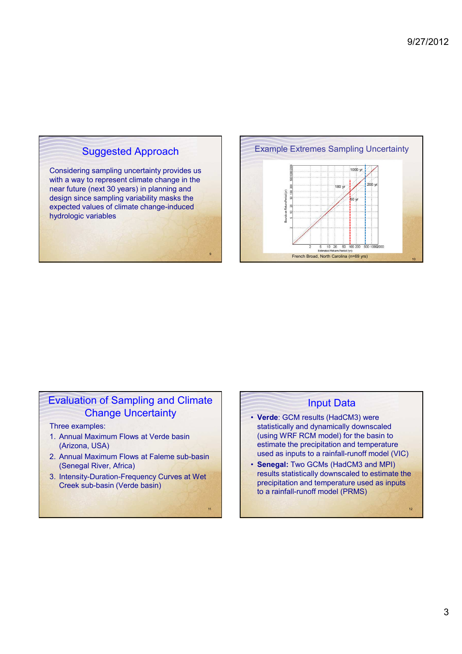## Suggested Approach

Considering sampling uncertainty provides us with a way to represent climate change in the near future (next 30 years) in planning and design since sampling variability masks the expected values of climate change-induced hydrologic variables

9

11



### Evaluation of Sampling and Climate Change Uncertainty

Three examples:

- 1. Annual Maximum Flows at Verde basin (Arizona, USA)
- 2. Annual Maximum Flows at Faleme sub-basin (Senegal River, Africa)
- 3. Intensity-Duration-Frequency Curves at Wet Creek sub-basin (Verde basin)

#### Input Data

- Verde: GCM results (HadCM3) were statistically and dynamically downscaled (using WRF RCM model) for the basin to estimate the precipitation and temperature used as inputs to a rainfall-runoff model (VIC)
- Senegal: Two GCMs (HadCM3 and MPI) results statistically downscaled to estimate the precipitation and temperature used as inputs to a rainfall-runoff model (PRMS)

12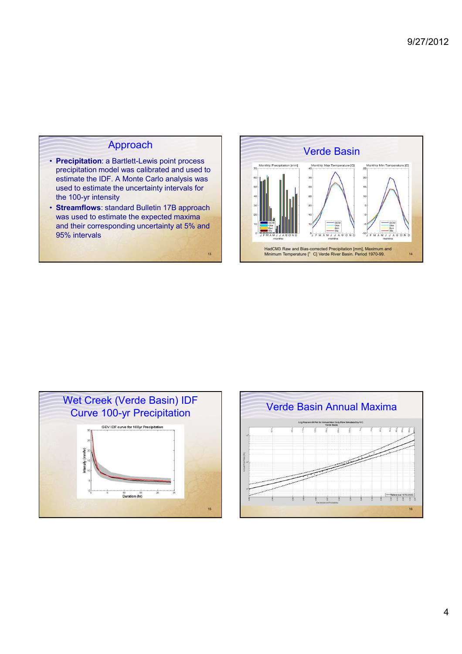# Approach

- Precipitation: a Bartlett-Lewis point process precipitation model was calibrated and used to estimate the IDF. A Monte Carlo analysis was used to estimate the uncertainty intervals for the 100-yr intensity
- Streamflows: standard Bulletin 17B approach was used to estimate the expected maxima and their corresponding uncertainty at 5% and 95% intervals

13





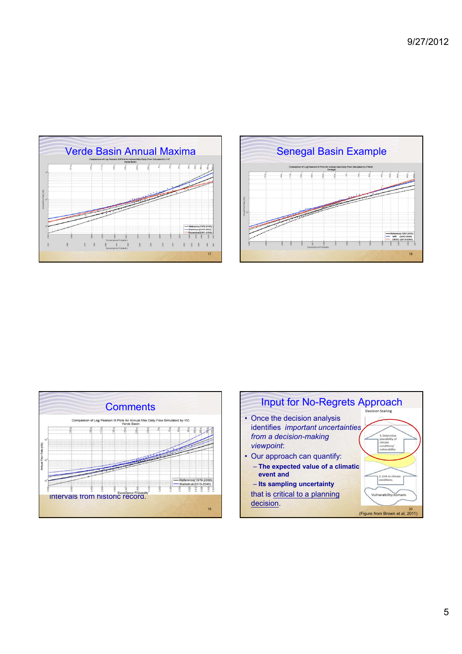







5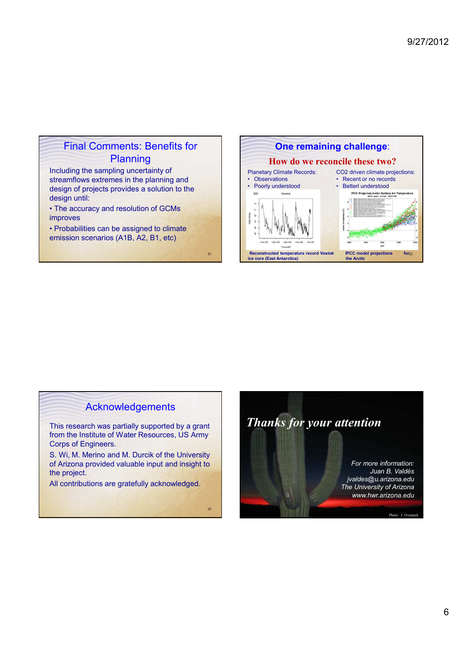## Final Comments: Benefits for Planning

Including the sampling uncertainty of streamflows extremes in the planning and design of projects provides a solution to the design until:

• The accuracy and resolution of GCMs improves

• Probabilities can be assigned to climate emission scenarios (A1B, A2, B1, etc)

21

23



### Acknowledgements

This research was partially supported by a grant from the Institute of Water Resources, US Army Corps of Engineers.

S. Wi, M. Merino and M. Durcik of the University of Arizona provided valuable input and insight to the project.

All contributions are gratefully acknowledged.

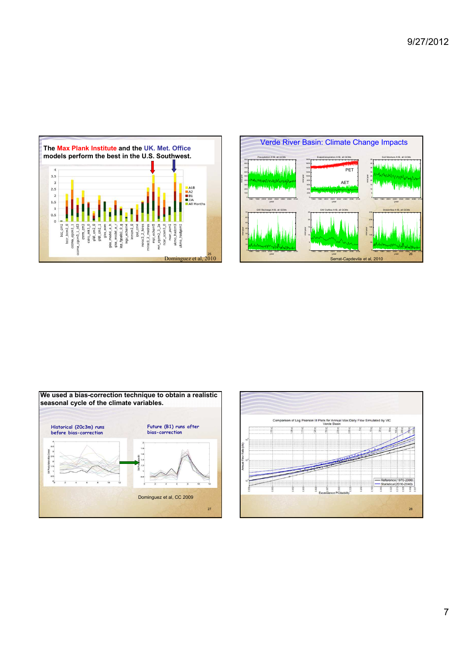